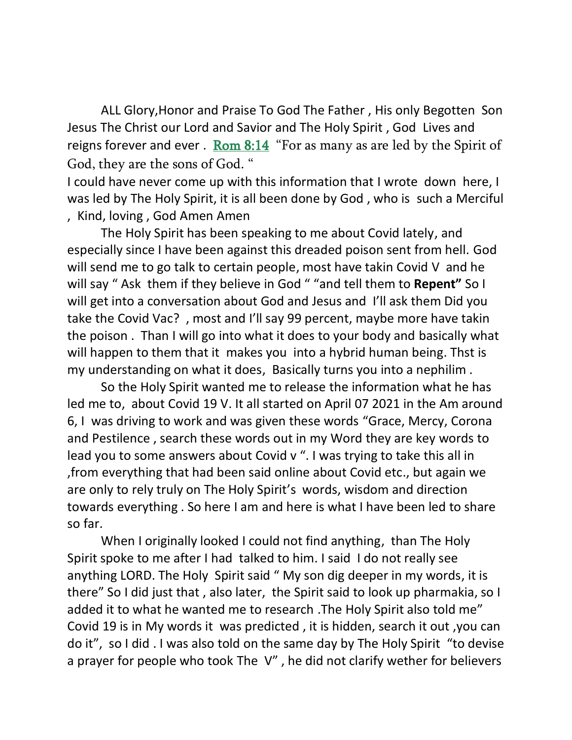ALL Glory,Honor and Praise To God The Father , His only Begotten Son Jesus The Christ our Lord and Savior and The Holy Spirit , God Lives and reigns forever and ever . Rom  $8:14$  "For as many as are led by the Spirit of God, they are the sons of God. "

I could have never come up with this information that I wrote down here, I was led by The Holy Spirit, it is all been done by God , who is such a Merciful , Kind, loving , God Amen Amen

The Holy Spirit has been speaking to me about Covid lately, and especially since I have been against this dreaded poison sent from hell. God will send me to go talk to certain people, most have takin Covid V and he will say " Ask them if they believe in God " "and tell them to **Repent"** So I will get into a conversation about God and Jesus and I'll ask them Did you take the Covid Vac? , most and I'll say 99 percent, maybe more have takin the poison . Than I will go into what it does to your body and basically what will happen to them that it makes you into a hybrid human being. Thst is my understanding on what it does, Basically turns you into a nephilim .

So the Holy Spirit wanted me to release the information what he has led me to, about Covid 19 V. It all started on April 07 2021 in the Am around 6, I was driving to work and was given these words "Grace, Mercy, Corona and Pestilence , search these words out in my Word they are key words to lead you to some answers about Covid v ". I was trying to take this all in ,from everything that had been said online about Covid etc., but again we are only to rely truly on The Holy Spirit's words, wisdom and direction towards everything . So here I am and here is what I have been led to share so far.

When I originally looked I could not find anything, than The Holy Spirit spoke to me after I had talked to him. I said I do not really see anything LORD. The Holy Spirit said " My son dig deeper in my words, it is there" So I did just that , also later, the Spirit said to look up pharmakia, so I added it to what he wanted me to research .The Holy Spirit also told me" Covid 19 is in My words it was predicted , it is hidden, search it out ,you can do it", so I did . I was also told on the same day by The Holy Spirit "to devise a prayer for people who took The V" , he did not clarify wether for believers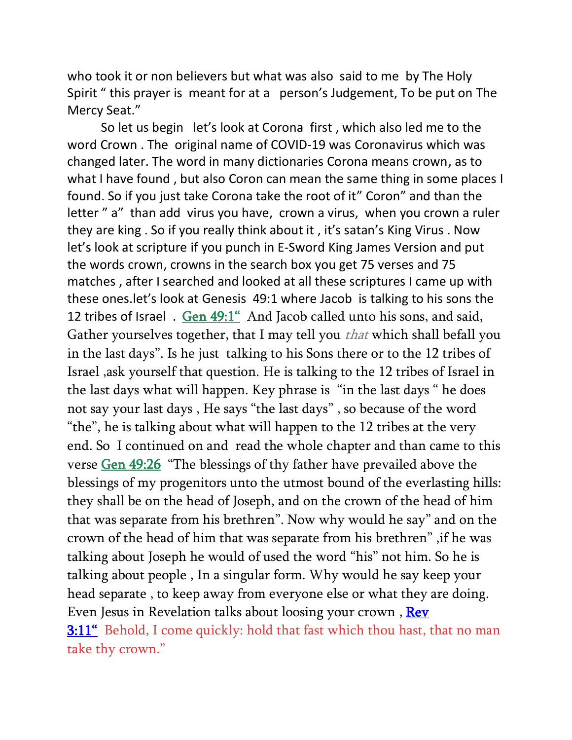who took it or non believers but what was also said to me by The Holy Spirit " this prayer is meant for at a person's Judgement, To be put on The Mercy Seat."

So let us begin let's look at Corona first , which also led me to the word Crown . The original name of COVID-19 was Coronavirus which was changed later. The word in many dictionaries Corona means crown, as to what I have found , but also Coron can mean the same thing in some places I found. So if you just take Corona take the root of it" Coron" and than the letter " a" than add virus you have, crown a virus, when you crown a ruler they are king . So if you really think about it , it's satan's King Virus . Now let's look at scripture if you punch in E-Sword King James Version and put the words crown, crowns in the search box you get 75 verses and 75 matches , after I searched and looked at all these scriptures I came up with these ones.let's look at Genesis 49:1 where Jacob is talking to his sons the 12 tribes of Israel . [Gen 49:1](verseid:1.49.1)" And Jacob called unto his sons, and said, Gather yourselves together, that I may tell you *that* which shall befall you in the last days". Is he just talking to his Sons there or to the 12 tribes of Israel ,ask yourself that question. He is talking to the 12 tribes of Israel in the last days what will happen. Key phrase is "in the last days " he does not say your last days , He says "the last days" , so because of the word "the", he is talking about what will happen to the 12 tribes at the very end. So I continued on and read the whole chapter and than came to this verse [Gen 49:26](verseid:1.49.26) "The blessings of thy father have prevailed above the blessings of my progenitors unto the utmost bound of the everlasting hills: they shall be on the head of Joseph, and on the crown of the head of him that was separate from his brethren". Now why would he say" and on the crown of the head of him that was separate from his brethren" ,if he was talking about Joseph he would of used the word "his" not him. So he is talking about people , In a singular form. Why would he say keep your head separate , to keep away from everyone else or what they are doing. Even Jesus in Revelation talks about loosing your crown, Rev [3:11](verseid:66.3.11)" Behold, I come quickly: hold that fast which thou hast, that no man take thy crown."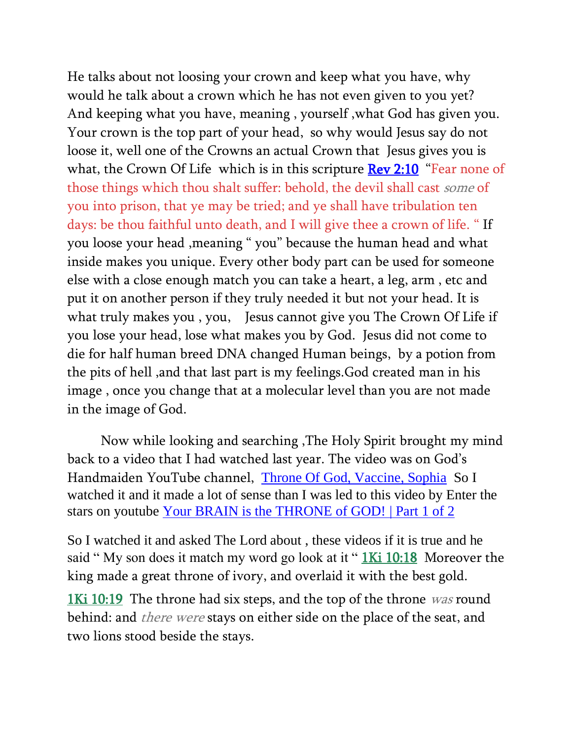He talks about not loosing your crown and keep what you have, why would he talk about a crown which he has not even given to you yet? And keeping what you have, meaning , yourself ,what God has given you. Your crown is the top part of your head, so why would Jesus say do not loose it, well one of the Crowns an actual Crown that Jesus gives you is what, the Crown Of Life which is in this scripture **Rev 2:10** "Fear none of those things which thou shalt suffer: behold, the devil shall cast some of you into prison, that ye may be tried; and ye shall have tribulation ten days: be thou faithful unto death, and I will give thee a crown of life. " If you loose your head ,meaning " you" because the human head and what inside makes you unique. Every other body part can be used for someone else with a close enough match you can take a heart, a leg, arm , etc and put it on another person if they truly needed it but not your head. It is what truly makes you , you, Jesus cannot give you The Crown Of Life if you lose your head, lose what makes you by God. Jesus did not come to die for half human breed DNA changed Human beings, by a potion from the pits of hell ,and that last part is my feelings.God created man in his image , once you change that at a molecular level than you are not made in the image of God.

Now while looking and searching ,The Holy Spirit brought my mind back to a video that I had watched last year. The video was on God's Handmaiden YouTube channel, [Throne Of God, Vaccine, Sophia](https://m.youtube.com/watch?v=I864RUUBW2I) So I watched it and it made a lot of sense than I was led to this video by Enter the stars on youtube [Your BRAIN is the THRONE of GOD! | Part 1 of 2](https://m.youtube.com/watch?v=GSt5rVu4DMY&t=0s)

So I watched it and asked The Lord about , these videos if it is true and he said " My son does it match my word go look at it " [1Ki 10:18](verseid:11.10.18) Moreover the king made a great throne of ivory, and overlaid it with the best gold.

[1Ki 10:19](verseid:11.10.19) The throne had six steps, and the top of the throne was round behind: and *there were* stays on either side on the place of the seat, and two lions stood beside the stays.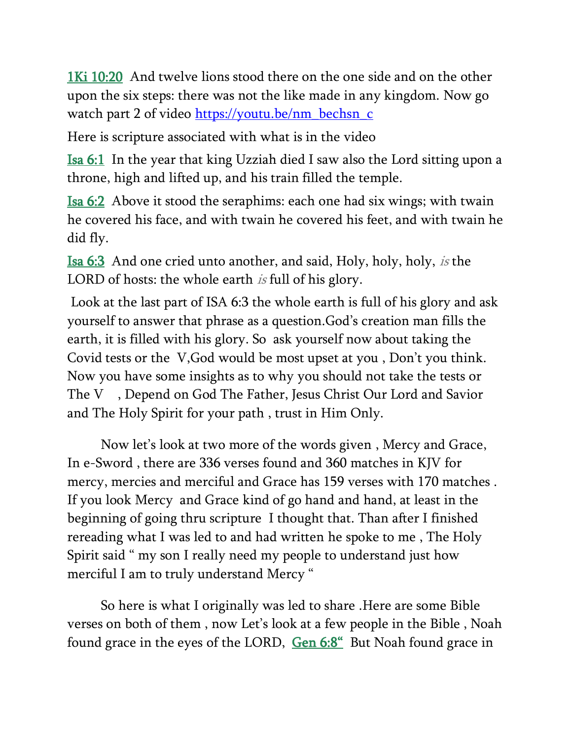[1Ki 10:20](verseid:11.10.20) And twelve lions stood there on the one side and on the other upon the six steps: there was not the like made in any kingdom. Now go watch part 2 of video [https://youtu.be/nm\\_bechsn\\_c](https://youtu.be/nm_bechsn_c)

Here is scripture associated with what is in the video

[Isa 6:1](verseid:23.6.1) In the year that king Uzziah died I saw also the Lord sitting upon a throne, high and lifted up, and his train filled the temple.

[Isa 6:2](verseid:23.6.2) Above it stood the seraphims: each one had six wings; with twain he covered his face, and with twain he covered his feet, and with twain he did fly.

[Isa 6:3](verseid:23.6.3) And one cried unto another, and said, Holy, holy, holy, is the LORD of hosts: the whole earth is full of his glory.

Look at the last part of ISA 6:3 the whole earth is full of his glory and ask yourself to answer that phrase as a question.God's creation man fills the earth, it is filled with his glory. So ask yourself now about taking the Covid tests or the V,God would be most upset at you , Don't you think. Now you have some insights as to why you should not take the tests or The V , Depend on God The Father, Jesus Christ Our Lord and Savior and The Holy Spirit for your path , trust in Him Only.

Now let's look at two more of the words given , Mercy and Grace, In e-Sword , there are 336 verses found and 360 matches in KJV for mercy, mercies and merciful and Grace has 159 verses with 170 matches . If you look Mercy and Grace kind of go hand and hand, at least in the beginning of going thru scripture I thought that. Than after I finished rereading what I was led to and had written he spoke to me , The Holy Spirit said " my son I really need my people to understand just how merciful I am to truly understand Mercy "

So here is what I originally was led to share .Here are some Bible verses on both of them , now Let's look at a few people in the Bible , Noah found grace in the eyes of the LORD, [Gen 6:8](verseid:1.6.8)" But Noah found grace in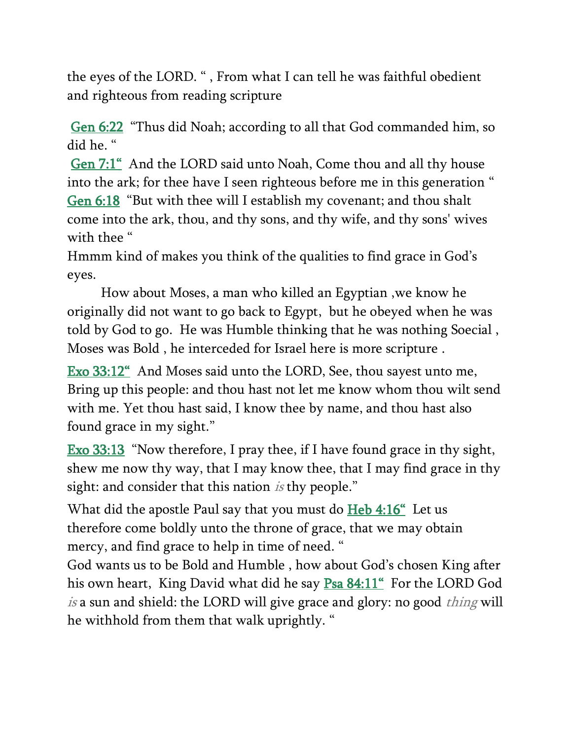the eyes of the LORD. " , From what I can tell he was faithful obedient and righteous from reading scripture

[Gen 6:22](verseid:1.6.22) "Thus did Noah; according to all that God commanded him, so did he. "

[Gen 7:1](verseid:1.7.1)" And the LORD said unto Noah, Come thou and all thy house into the ark; for thee have I seen righteous before me in this generation " [Gen 6:18](verseid:1.6.18) "But with thee will I establish my covenant; and thou shalt come into the ark, thou, and thy sons, and thy wife, and thy sons' wives with thee "

Hmmm kind of makes you think of the qualities to find grace in God's eyes.

How about Moses, a man who killed an Egyptian ,we know he originally did not want to go back to Egypt, but he obeyed when he was told by God to go. He was Humble thinking that he was nothing Soecial , Moses was Bold , he interceded for Israel here is more scripture .

[Exo 33:12](verseid:2.33.12)" And Moses said unto the LORD, See, thou sayest unto me, Bring up this people: and thou hast not let me know whom thou wilt send with me. Yet thou hast said, I know thee by name, and thou hast also found grace in my sight."

[Exo 33:13](verseid:2.33.13) "Now therefore, I pray thee, if I have found grace in thy sight, shew me now thy way, that I may know thee, that I may find grace in thy sight: and consider that this nation *is* thy people."

What did the apostle Paul say that you must do **Heb 4:16**" Let us therefore come boldly unto the throne of grace, that we may obtain mercy, and find grace to help in time of need. "

God wants us to be Bold and Humble , how about God's chosen King after his own heart, King David what did he say **Psa 84:11**" For the LORD God is a sun and shield: the LORD will give grace and glory: no good *thing* will he withhold from them that walk uprightly. "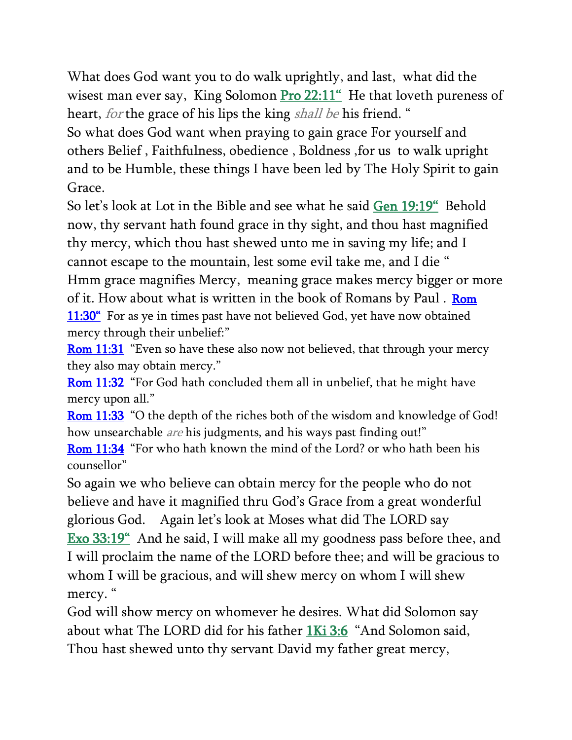What does God want you to do walk uprightly, and last, what did the wisest man ever say, King Solomon [Pro 22:11](verseid:20.22.11)" He that loveth pureness of heart, *for* the grace of his lips the king *shall be* his friend. "

So what does God want when praying to gain grace For yourself and others Belief , Faithfulness, obedience , Boldness ,for us to walk upright and to be Humble, these things I have been led by The Holy Spirit to gain Grace.

So let's look at Lot in the Bible and see what he said [Gen 19:19](verseid:1.19.19)" Behold now, thy servant hath found grace in thy sight, and thou hast magnified thy mercy, which thou hast shewed unto me in saving my life; and I cannot escape to the mountain, lest some evil take me, and I die " Hmm grace magnifies Mercy, meaning grace makes mercy bigger or more

of it. How about what is written in the book of Romans by Paul . [Rom](verseid:45.11.30)  [11:30](verseid:45.11.30)" For as ye in times past have not believed God, yet have now obtained mercy through their unbelief:"

[Rom 11:31](verseid:45.11.31) "Even so have these also now not believed, that through your mercy they also may obtain mercy."

[Rom 11:32](verseid:45.11.32) "For God hath concluded them all in unbelief, that he might have mercy upon all."

[Rom 11:33](verseid:45.11.33) "O the depth of the riches both of the wisdom and knowledge of God! how unsearchable *are* his judgments, and his ways past finding out!" [Rom 11:34](verseid:45.11.34) "For who hath known the mind of the Lord? or who hath been his

counsellor"

So again we who believe can obtain mercy for the people who do not believe and have it magnified thru God's Grace from a great wonderful glorious God. Again let's look at Moses what did The LORD say [Exo 33:19](verseid:2.33.19)" And he said, I will make all my goodness pass before thee, and I will proclaim the name of the LORD before thee; and will be gracious to whom I will be gracious, and will shew mercy on whom I will shew mercy. "

God will show mercy on whomever he desires. What did Solomon say about what The LORD did for his father [1Ki 3:6](verseid:11.3.6) "And Solomon said, Thou hast shewed unto thy servant David my father great mercy,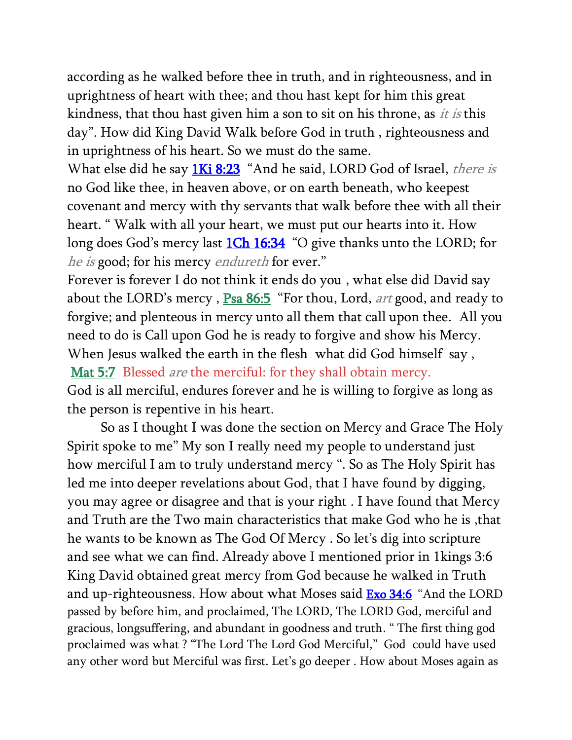according as he walked before thee in truth, and in righteousness, and in uprightness of heart with thee; and thou hast kept for him this great kindness, that thou hast given him a son to sit on his throne, as it is this day". How did King David Walk before God in truth , righteousness and in uprightness of his heart. So we must do the same.

What else did he say **1Ki 8:23** "And he said, LORD God of Israel, *there is* no God like thee, in heaven above, or on earth beneath, who keepest covenant and mercy with thy servants that walk before thee with all their heart. " Walk with all your heart, we must put our hearts into it. How long does God's mercy last **[1Ch 16:34](verseid:13.16.34)** "O give thanks unto the LORD; for he is good; for his mercy endureth for ever."

Forever is forever I do not think it ends do you , what else did David say about the LORD's mercy, [Psa 86:5](verseid:19.86.5) "For thou, Lord, *art* good, and ready to forgive; and plenteous in mercy unto all them that call upon thee. All you need to do is Call upon God he is ready to forgive and show his Mercy. When Jesus walked the earth in the flesh what did God himself say , [Mat 5:7](verseid:40.5.7) Blessed *are* the merciful: for they shall obtain mercy. God is all merciful, endures forever and he is willing to forgive as long as

the person is repentive in his heart.

So as I thought I was done the section on Mercy and Grace The Holy Spirit spoke to me" My son I really need my people to understand just how merciful I am to truly understand mercy ". So as The Holy Spirit has led me into deeper revelations about God, that I have found by digging, you may agree or disagree and that is your right . I have found that Mercy and Truth are the Two main characteristics that make God who he is ,that he wants to be known as The God Of Mercy . So let's dig into scripture and see what we can find. Already above I mentioned prior in 1kings 3:6 King David obtained great mercy from God because he walked in Truth and up-righteousness. How about what Moses said **[Exo 34:6](verseid:2.34.6)** "And the LORD passed by before him, and proclaimed, The LORD, The LORD God, merciful and gracious, longsuffering, and abundant in goodness and truth. " The first thing god proclaimed was what ? "The Lord The Lord God Merciful," God could have used any other word but Merciful was first. Let's go deeper . How about Moses again as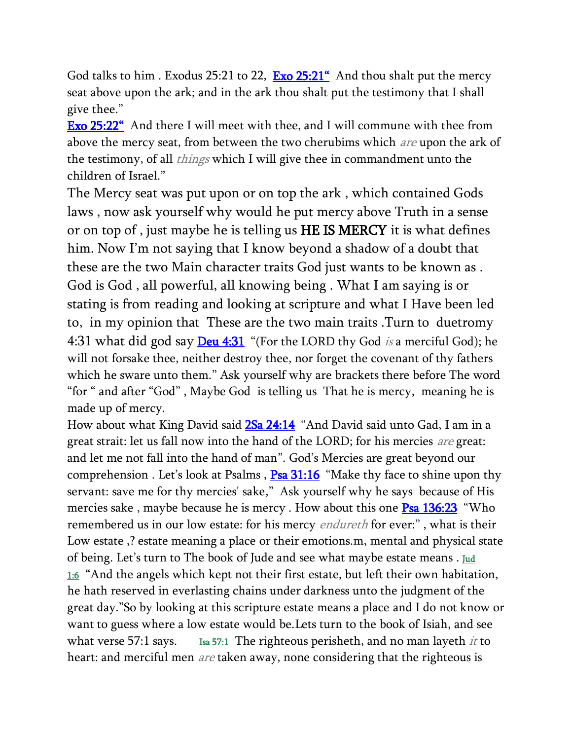God talks to him . Exodus 25:21 to 22, **[Exo 25:21](verseid:2.25.21)**<sup>"</sup> And thou shalt put the mercy seat above upon the ark; and in the ark thou shalt put the testimony that I shall give thee."

**[Exo 25:22](verseid:2.25.22)**<sup>"</sup> And there I will meet with thee, and I will commune with thee from above the mercy seat, from between the two cherubims which *are* upon the ark of the testimony, of all *things* which I will give thee in commandment unto the children of Israel."

The Mercy seat was put upon or on top the ark , which contained Gods laws , now ask yourself why would he put mercy above Truth in a sense or on top of , just maybe he is telling us HE IS MERCY it is what defines him. Now I'm not saying that I know beyond a shadow of a doubt that these are the two Main character traits God just wants to be known as . God is God , all powerful, all knowing being . What I am saying is or stating is from reading and looking at scripture and what I Have been led to, in my opinion that These are the two main traits .Turn to duetromy 4:31 what did god say **[Deu 4:31](verseid:5.4.31)** "(For the LORD thy God is a merciful God); he will not forsake thee, neither destroy thee, nor forget the covenant of thy fathers which he sware unto them." Ask yourself why are brackets there before The word "for " and after "God" , Maybe God is telling us That he is mercy, meaning he is made up of mercy.

How about what King David said **2Sa 24:14** "And David said unto Gad, I am in a great strait: let us fall now into the hand of the LORD; for his mercies *are* great: and let me not fall into the hand of man". God's Mercies are great beyond our comprehension . Let's look at Psalms,  $P$ sa 31:16 "Make thy face to shine upon thy servant: save me for thy mercies' sake," Ask yourself why he says because of His mercies sake, maybe because he is mercy. How about this one  $\frac{P_{sa}}{136:23}$  "Who remembered us in our low estate: for his mercy *endureth* for ever:", what is their Low estate ,? estate meaning a place or their emotions.m, mental and physical state of being. Let's turn to The book of Jude and see what maybe estate means . Jud [1:6](verseid:65.1.6) "And the angels which kept not their first estate, but left their own habitation, he hath reserved in everlasting chains under darkness unto the judgment of the great day."So by looking at this scripture estate means a place and I do not know or want to guess where a low estate would be.Lets turn to the book of Isiah, and see what verse 57:1 says. <u>[Isa 57:1](verseid:23.57.1)</u> The righteous perisheth, and no man layeth *it* to heart: and merciful men are taken away, none considering that the righteous is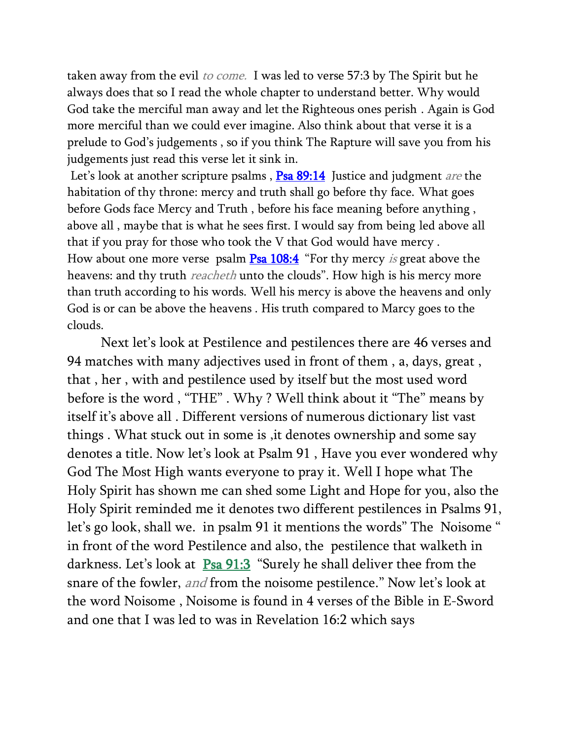taken away from the evil to come. I was led to verse 57:3 by The Spirit but he always does that so I read the whole chapter to understand better. Why would God take the merciful man away and let the Righteous ones perish . Again is God more merciful than we could ever imagine. Also think about that verse it is a prelude to God's judgements , so if you think The Rapture will save you from his judgements just read this verse let it sink in.

Let's look at another scripture psalms, **Psa 89:14** Justice and judgment are the habitation of thy throne: mercy and truth shall go before thy face. What goes before Gods face Mercy and Truth , before his face meaning before anything , above all , maybe that is what he sees first. I would say from being led above all that if you pray for those who took the V that God would have mercy . How about one more verse psalm **Psa 108:4** "For thy mercy is great above the heavens: and thy truth reacheth unto the clouds". How high is his mercy more than truth according to his words. Well his mercy is above the heavens and only God is or can be above the heavens . His truth compared to Marcy goes to the clouds.

Next let's look at Pestilence and pestilences there are 46 verses and 94 matches with many adjectives used in front of them , a, days, great , that , her , with and pestilence used by itself but the most used word before is the word , "THE" . Why ? Well think about it "The" means by itself it's above all . Different versions of numerous dictionary list vast things . What stuck out in some is ,it denotes ownership and some say denotes a title. Now let's look at Psalm 91 , Have you ever wondered why God The Most High wants everyone to pray it. Well I hope what The Holy Spirit has shown me can shed some Light and Hope for you, also the Holy Spirit reminded me it denotes two different pestilences in Psalms 91, let's go look, shall we. in psalm 91 it mentions the words" The Noisome " in front of the word Pestilence and also, the pestilence that walketh in darkness. Let's look at [Psa 91:3](verseid:19.91.3) "Surely he shall deliver thee from the snare of the fowler, and from the noisome pestilence." Now let's look at the word Noisome , Noisome is found in 4 verses of the Bible in E-Sword and one that I was led to was in Revelation 16:2 which says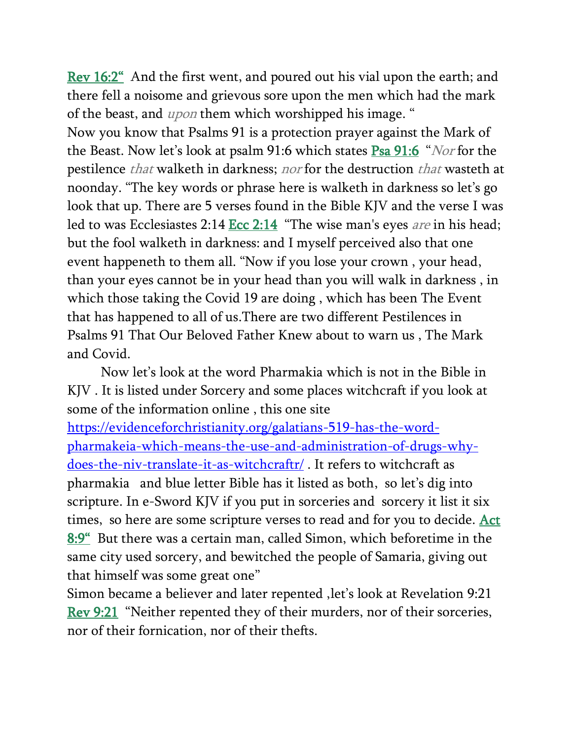[Rev 16:2](verseid:66.16.2)" And the first went, and poured out his vial upon the earth; and there fell a noisome and grievous sore upon the men which had the mark of the beast, and *upon* them which worshipped his image. "

Now you know that Psalms 91 is a protection prayer against the Mark of the Beast. Now let's look at psalm 91:6 which states **Psa 91:6** "Nor for the pestilence that walketh in darkness; nor for the destruction that wasteth at noonday. "The key words or phrase here is walketh in darkness so let's go look that up. There are 5 verses found in the Bible KJV and the verse I was led to was Ecclesiastes 2:14 [Ecc 2:14](verseid:21.2.14) "The wise man's eyes are in his head; but the fool walketh in darkness: and I myself perceived also that one event happeneth to them all. "Now if you lose your crown , your head, than your eyes cannot be in your head than you will walk in darkness , in which those taking the Covid 19 are doing , which has been The Event that has happened to all of us.There are two different Pestilences in Psalms 91 That Our Beloved Father Knew about to warn us , The Mark and Covid.

Now let's look at the word Pharmakia which is not in the Bible in KJV . It is listed under Sorcery and some places witchcraft if you look at some of the information online , this one site

[https://evidenceforchristianity.org/galatians-519-has-the-word](https://evidenceforchristianity.org/galatians-519-has-the-word-pharmakeia-which-means-the-use-and-administration-of-drugs-why-does-the-niv-translate-it-as-witchcraftr/)[pharmakeia-which-means-the-use-and-administration-of-drugs-why](https://evidenceforchristianity.org/galatians-519-has-the-word-pharmakeia-which-means-the-use-and-administration-of-drugs-why-does-the-niv-translate-it-as-witchcraftr/)[does-the-niv-translate-it-as-witchcraftr/](https://evidenceforchristianity.org/galatians-519-has-the-word-pharmakeia-which-means-the-use-and-administration-of-drugs-why-does-the-niv-translate-it-as-witchcraftr/) . It refers to witchcraft as pharmakia and blue letter Bible has it listed as both, so let's dig into scripture. In e-Sword KJV if you put in sorceries and sorcery it list it six times, so here are some scripture verses to read and for you to decide. [Act](verseid:44.8.9)  [8:9](verseid:44.8.9)" But there was a certain man, called Simon, which beforetime in the same city used sorcery, and bewitched the people of Samaria, giving out that himself was some great one"

Simon became a believer and later repented ,let's look at Revelation 9:21 [Rev 9:21](verseid:66.9.21) "Neither repented they of their murders, nor of their sorceries, nor of their fornication, nor of their thefts.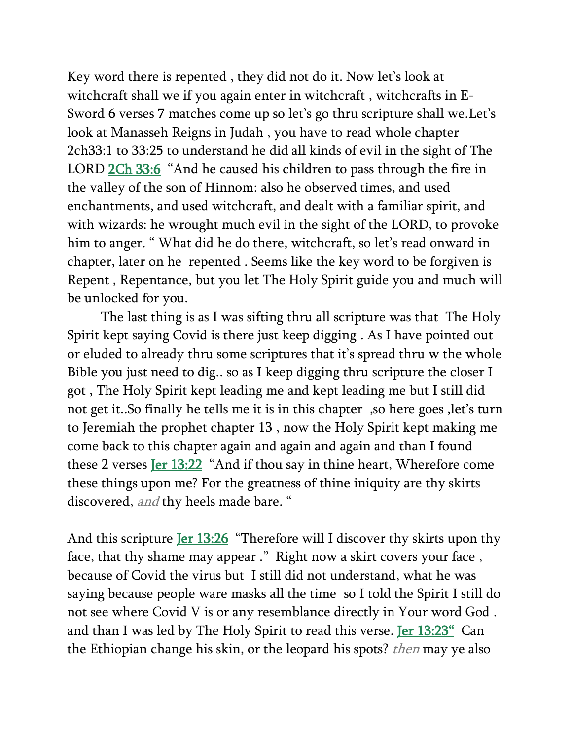Key word there is repented , they did not do it. Now let's look at witchcraft shall we if you again enter in witchcraft , witchcrafts in E-Sword 6 verses 7 matches come up so let's go thru scripture shall we.Let's look at Manasseh Reigns in Judah , you have to read whole chapter 2ch33:1 to 33:25 to understand he did all kinds of evil in the sight of The LORD [2Ch 33:6](verseid:14.33.6) "And he caused his children to pass through the fire in the valley of the son of Hinnom: also he observed times, and used enchantments, and used witchcraft, and dealt with a familiar spirit, and with wizards: he wrought much evil in the sight of the LORD, to provoke him to anger. " What did he do there, witchcraft, so let's read onward in chapter, later on he repented . Seems like the key word to be forgiven is Repent , Repentance, but you let The Holy Spirit guide you and much will be unlocked for you.

The last thing is as I was sifting thru all scripture was that The Holy Spirit kept saying Covid is there just keep digging . As I have pointed out or eluded to already thru some scriptures that it's spread thru w the whole Bible you just need to dig.. so as I keep digging thru scripture the closer I got , The Holy Spirit kept leading me and kept leading me but I still did not get it..So finally he tells me it is in this chapter ,so here goes ,let's turn to Jeremiah the prophet chapter 13 , now the Holy Spirit kept making me come back to this chapter again and again and again and than I found these 2 verses [Jer 13:22](verseid:24.13.22) "And if thou say in thine heart, Wherefore come these things upon me? For the greatness of thine iniquity are thy skirts discovered, and thy heels made bare. "

And this scripture **Jer 13:26** "Therefore will I discover thy skirts upon thy face, that thy shame may appear ." Right now a skirt covers your face , because of Covid the virus but I still did not understand, what he was saying because people ware masks all the time so I told the Spirit I still do not see where Covid V is or any resemblance directly in Your word God . and than I was led by The Holy Spirit to read this verse. [Jer 13:23](verseid:24.13.23)" Can the Ethiopian change his skin, or the leopard his spots? *then* may ye also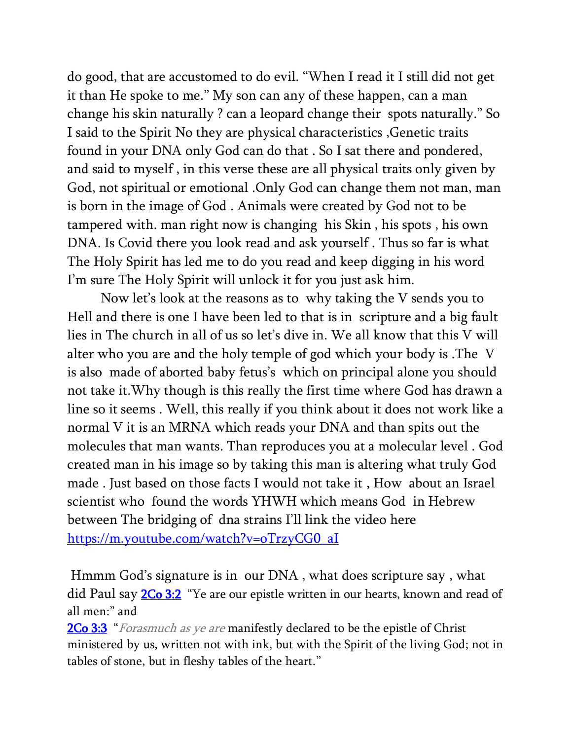do good, that are accustomed to do evil. "When I read it I still did not get it than He spoke to me." My son can any of these happen, can a man change his skin naturally ? can a leopard change their spots naturally." So I said to the Spirit No they are physical characteristics ,Genetic traits found in your DNA only God can do that . So I sat there and pondered, and said to myself , in this verse these are all physical traits only given by God, not spiritual or emotional .Only God can change them not man, man is born in the image of God . Animals were created by God not to be tampered with. man right now is changing his Skin , his spots , his own DNA. Is Covid there you look read and ask yourself . Thus so far is what The Holy Spirit has led me to do you read and keep digging in his word I'm sure The Holy Spirit will unlock it for you just ask him.

Now let's look at the reasons as to why taking the V sends you to Hell and there is one I have been led to that is in scripture and a big fault lies in The church in all of us so let's dive in. We all know that this V will alter who you are and the holy temple of god which your body is .The V is also made of aborted baby fetus's which on principal alone you should not take it.Why though is this really the first time where God has drawn a line so it seems . Well, this really if you think about it does not work like a normal V it is an MRNA which reads your DNA and than spits out the molecules that man wants. Than reproduces you at a molecular level . God created man in his image so by taking this man is altering what truly God made . Just based on those facts I would not take it , How about an Israel scientist who found the words YHWH which means God in Hebrew between The bridging of dna strains I'll link the video here [https://m.youtube.com/watch?v=oTrzyCG0\\_aI](https://m.youtube.com/watch?v=oTrzyCG0_aI)

Hmmm God's signature is in our DNA , what does scripture say , what did Paul say [2Co 3:2](verseid:47.3.2) "Ye are our epistle written in our hearts, known and read of all men:" and

**[2Co 3:3](verseid:47.3.3)** "Forasmuch as ye are manifestly declared to be the epistle of Christ ministered by us, written not with ink, but with the Spirit of the living God; not in tables of stone, but in fleshy tables of the heart."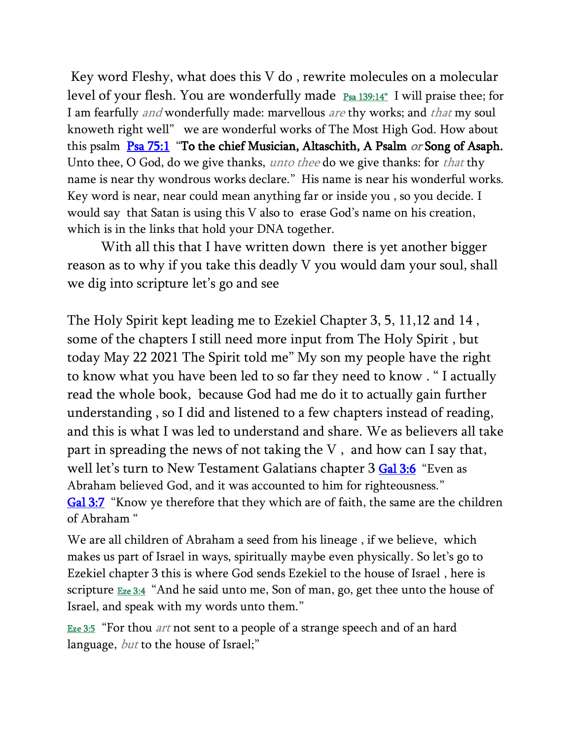Key word Fleshy, what does this V do , rewrite molecules on a molecular level of your flesh. You are wonderfully made  $_{\text{Psa 139:14}^{\text{\'e}}}$  $_{\text{Psa 139:14}^{\text{\'e}}}$  $_{\text{Psa 139:14}^{\text{\'e}}}$  I will praise thee; for I am fearfully *and* wonderfully made: marvellous *are* thy works; and *that* my soul knoweth right well" we are wonderful works of The Most High God. How about this psalm  $Psa 75:1$  $Psa 75:1$  $Psa 75:1$  "To the chief Musician, Altaschith, A Psalm *or* Song of Asaph.</u> Unto thee, O God, do we give thanks, *unto thee* do we give thanks: for *that* thy name is near thy wondrous works declare." His name is near his wonderful works. Key word is near, near could mean anything far or inside you , so you decide. I would say that Satan is using this V also to erase God's name on his creation, which is in the links that hold your DNA together.

With all this that I have written down there is yet another bigger reason as to why if you take this deadly V you would dam your soul, shall we dig into scripture let's go and see

The Holy Spirit kept leading me to Ezekiel Chapter 3, 5, 11,12 and 14 , some of the chapters I still need more input from The Holy Spirit , but today May 22 2021 The Spirit told me" My son my people have the right to know what you have been led to so far they need to know . " I actually read the whole book, because God had me do it to actually gain further understanding , so I did and listened to a few chapters instead of reading, and this is what I was led to understand and share. We as believers all take part in spreading the news of not taking the V , and how can I say that, well let's turn to New Testament Galatians chapter 3 [Gal 3:6](verseid:48.3.6) "Even as Abraham believed God, and it was accounted to him for righteousness." [Gal 3:7](verseid:48.3.7) "Know ye therefore that they which are of faith, the same are the children of Abraham "

We are all children of Abraham a seed from his lineage , if we believe, which makes us part of Israel in ways, spiritually maybe even physically. So let's go to Ezekiel chapter 3 this is where God sends Ezekiel to the house of Israel , here is scripture  $Eze 3:4$  "And he said unto me, Son of man, go, get thee unto the house of Israel, and speak with my words unto them."

[Eze 3:5](verseid:26.3.5) "For thou *art* not sent to a people of a strange speech and of an hard language, but to the house of Israel;"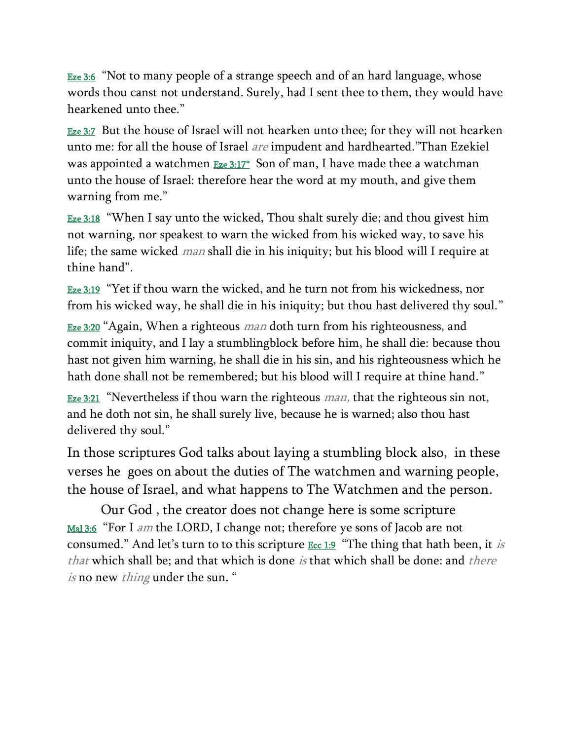**[Eze 3:6](verseid:26.3.6)** "Not to many people of a strange speech and of an hard language, whose words thou canst not understand. Surely, had I sent thee to them, they would have hearkened unto thee."

**[Eze 3:7](verseid:26.3.7)** But the house of Israel will not hearken unto thee; for they will not hearken unto me: for all the house of Israel are impudent and hardhearted."Than Ezekiel was appointed a watchmen  $E_{ze}$  3:17" Son of man, I have made thee a watchman unto the house of Israel: therefore hear the word at my mouth, and give them warning from me."

[Eze 3:18](verseid:26.3.18) "When I say unto the wicked, Thou shalt surely die; and thou givest him not warning, nor speakest to warn the wicked from his wicked way, to save his life; the same wicked man shall die in his iniquity; but his blood will I require at thine hand".

[Eze 3:19](verseid:26.3.19) "Yet if thou warn the wicked, and he turn not from his wickedness, nor from his wicked way, he shall die in his iniquity; but thou hast delivered thy soul."

[Eze 3:20](verseid:26.3.20) "Again, When a righteous *man* doth turn from his righteousness, and commit iniquity, and I lay a stumblingblock before him, he shall die: because thou hast not given him warning, he shall die in his sin, and his righteousness which he hath done shall not be remembered; but his blood will I require at thine hand."

<u>[Eze 3:21](verseid:26.3.21)</u> "Nevertheless if thou warn the righteous *man*, that the righteous sin not, and he doth not sin, he shall surely live, because he is warned; also thou hast delivered thy soul."

In those scriptures God talks about laying a stumbling block also, in these verses he goes on about the duties of The watchmen and warning people, the house of Israel, and what happens to The Watchmen and the person.

Our God , the creator does not change here is some scripture [Mal 3:6](verseid:39.3.6) "For I *am* the LORD, I change not; therefore ye sons of Jacob are not consumed." And let's turn to to this scripture  $\frac{Ecc}{1.9}$  "The thing that hath been, it is that which shall be; and that which is done is that which shall be done: and there is no new *thing* under the sun. "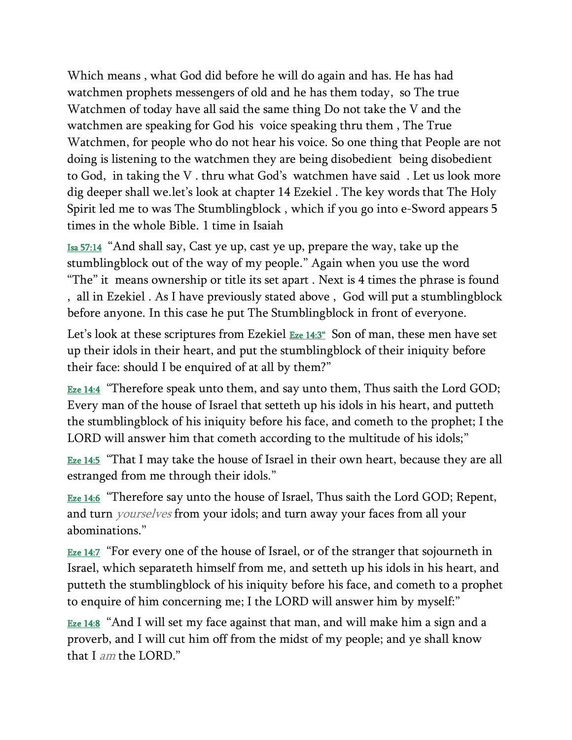Which means , what God did before he will do again and has. He has had watchmen prophets messengers of old and he has them today, so The true Watchmen of today have all said the same thing Do not take the V and the watchmen are speaking for God his voice speaking thru them , The True Watchmen, for people who do not hear his voice. So one thing that People are not doing is listening to the watchmen they are being disobedient being disobedient to God, in taking the V . thru what God's watchmen have said . Let us look more dig deeper shall we.let's look at chapter 14 Ezekiel . The key words that The Holy Spirit led me to was The Stumblingblock , which if you go into e-Sword appears 5 times in the whole Bible. 1 time in Isaiah

[Isa 57:14](verseid:23.57.14) "And shall say, Cast ye up, cast ye up, prepare the way, take up the stumblingblock out of the way of my people." Again when you use the word "The" it means ownership or title its set apart . Next is 4 times the phrase is found , all in Ezekiel . As I have previously stated above , God will put a stumblingblock before anyone. In this case he put The Stumblingblock in front of everyone.

Let's look at these scriptures from Ezekiel  $Eze 14:3^\circ$  $Eze 14:3^\circ$  Son of man, these men have set up their idols in their heart, and put the stumblingblock of their iniquity before their face: should I be enquired of at all by them?"

 $E$ <u>ze 14:4</u> "Therefore speak unto them, and say unto them, Thus saith the Lord GOD; Every man of the house of Israel that setteth up his idols in his heart, and putteth the stumblingblock of his iniquity before his face, and cometh to the prophet; I the LORD will answer him that cometh according to the multitude of his idols;"

**[Eze 14:5](verseid:26.14.5)** "That I may take the house of Israel in their own heart, because they are all estranged from me through their idols."

**[Eze 14:6](verseid:26.14.6)** "Therefore say unto the house of Israel, Thus saith the Lord GOD; Repent, and turn *yourselves* from your idols; and turn away your faces from all your abominations."

**[Eze 14:7](verseid:26.14.7)** "For every one of the house of Israel, or of the stranger that sojourneth in Israel, which separateth himself from me, and setteth up his idols in his heart, and putteth the stumblingblock of his iniquity before his face, and cometh to a prophet to enquire of him concerning me; I the LORD will answer him by myself:"

[Eze 14:8](verseid:26.14.8) "And I will set my face against that man, and will make him a sign and a proverb, and I will cut him off from the midst of my people; and ye shall know that I am the LORD."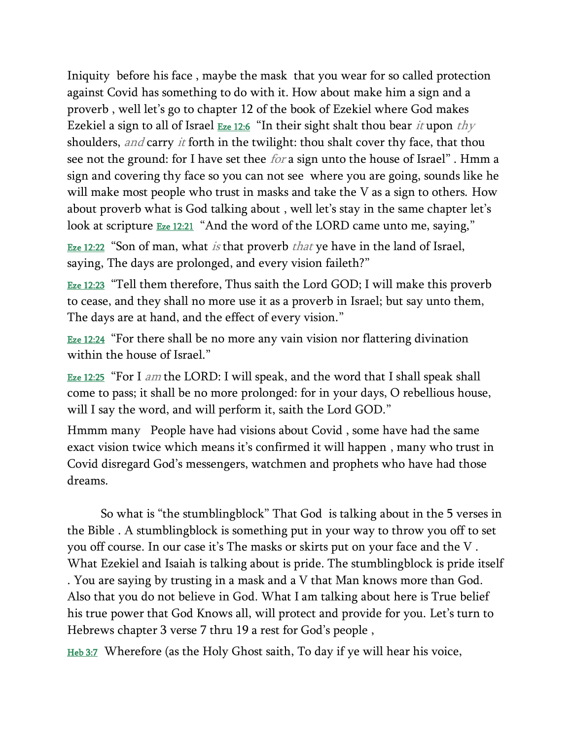Iniquity before his face , maybe the mask that you wear for so called protection against Covid has something to do with it. How about make him a sign and a proverb , well let's go to chapter 12 of the book of Ezekiel where God makes Ezekiel a sign to all of Israel  $E_{ze 12:6}$  "In their sight shalt thou bear *it* upon thy shoulders, *and* carry *it* forth in the twilight: thou shalt cover thy face, that thou see not the ground: for I have set thee *for* a sign unto the house of Israel". Hmm a sign and covering thy face so you can not see where you are going, sounds like he will make most people who trust in masks and take the V as a sign to others. How about proverb what is God talking about , well let's stay in the same chapter let's look at scripture **[Eze 12:21](verseid:26.12.21)** "And the word of the LORD came unto me, saying,"

[Eze 12:22](verseid:26.12.22) "Son of man, what *is* that proverb *that* ye have in the land of Israel, saying, The days are prolonged, and every vision faileth?"

[Eze 12:23](verseid:26.12.23) "Tell them therefore, Thus saith the Lord GOD; I will make this proverb to cease, and they shall no more use it as a proverb in Israel; but say unto them, The days are at hand, and the effect of every vision."

[Eze 12:24](verseid:26.12.24) "For there shall be no more any vain vision nor flattering divination within the house of Israel."

[Eze 12:25](verseid:26.12.25) "For I am the LORD: I will speak, and the word that I shall speak shall come to pass; it shall be no more prolonged: for in your days, O rebellious house, will I say the word, and will perform it, saith the Lord GOD."

Hmmm many People have had visions about Covid , some have had the same exact vision twice which means it's confirmed it will happen , many who trust in Covid disregard God's messengers, watchmen and prophets who have had those dreams.

So what is "the stumblingblock" That God is talking about in the 5 verses in the Bible . A stumblingblock is something put in your way to throw you off to set you off course. In our case it's The masks or skirts put on your face and the V . What Ezekiel and Isaiah is talking about is pride. The stumblingblock is pride itself . You are saying by trusting in a mask and a V that Man knows more than God. Also that you do not believe in God. What I am talking about here is True belief his true power that God Knows all, will protect and provide for you. Let's turn to Hebrews chapter 3 verse 7 thru 19 a rest for God's people ,

[Heb 3:7](verseid:58.3.7) Wherefore (as the Holy Ghost saith, To day if ye will hear his voice,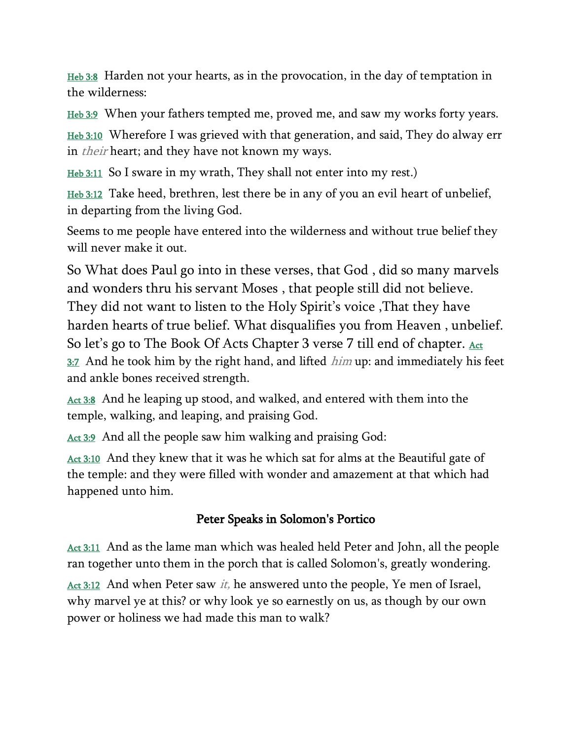[Heb 3:8](verseid:58.3.8) Harden not your hearts, as in the provocation, in the day of temptation in the wilderness:

<u>[Heb 3:9](verseid:58.3.9)</u> When your fathers tempted me, proved me, and saw my works forty years.

[Heb 3:10](verseid:58.3.10) Wherefore I was grieved with that generation, and said, They do alway err in *their* heart; and they have not known my ways.

<u>[Heb 3:11](verseid:58.3.11)</u> So I sware in my wrath, They shall not enter into my rest.)

[Heb 3:12](verseid:58.3.12) Take heed, brethren, lest there be in any of you an evil heart of unbelief, in departing from the living God.

Seems to me people have entered into the wilderness and without true belief they will never make it out.

So What does Paul go into in these verses, that God , did so many marvels and wonders thru his servant Moses , that people still did not believe. They did not want to listen to the Holy Spirit's voice ,That they have harden hearts of true belief. What disqualifies you from Heaven , unbelief. So let's go to The Book Of Acts Chapter 3 verse 7 till end of chapter. Act  $3:7$  And he took him by the right hand, and lifted  $him$  up: and immediately his feet and ankle bones received strength.

[Act 3:8](verseid:44.3.8) And he leaping up stood, and walked, and entered with them into the temple, walking, and leaping, and praising God.

[Act 3:9](verseid:44.3.9) And all the people saw him walking and praising God:

[Act 3:10](verseid:44.3.10) And they knew that it was he which sat for alms at the Beautiful gate of the temple: and they were filled with wonder and amazement at that which had happened unto him.

## Peter Speaks in Solomon's Portico

[Act 3:11](verseid:44.3.11) And as the lame man which was healed held Peter and John, all the people ran together unto them in the porch that is called Solomon's, greatly wondering.

 $Act 3:12$  $Act 3:12$  $Act 3:12$  And when Peter saw *it*, he answered unto the people, Ye men of Israel,</u> why marvel ye at this? or why look ye so earnestly on us, as though by our own power or holiness we had made this man to walk?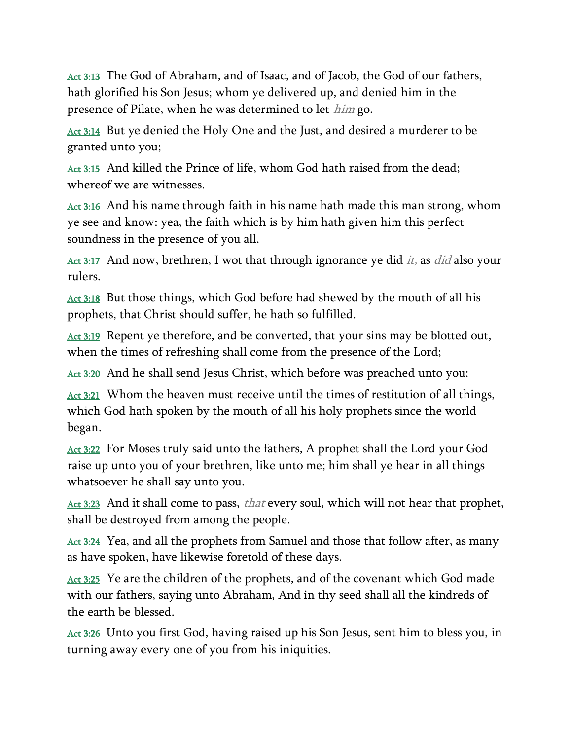[Act 3:13](verseid:44.3.13) The God of Abraham, and of Isaac, and of Jacob, the God of our fathers, hath glorified his Son Jesus; whom ye delivered up, and denied him in the presence of Pilate, when he was determined to let *him* go.

[Act 3:14](verseid:44.3.14) But ye denied the Holy One and the Just, and desired a murderer to be granted unto you;

[Act 3:15](verseid:44.3.15) And killed the Prince of life, whom God hath raised from the dead; whereof we are witnesses.

[Act 3:16](verseid:44.3.16) And his name through faith in his name hath made this man strong, whom ye see and know: yea, the faith which is by him hath given him this perfect soundness in the presence of you all.

[Act 3:17](verseid:44.3.17) And now, brethren, I wot that through ignorance ye did *it*, as *did* also your rulers.

[Act 3:18](verseid:44.3.18) But those things, which God before had shewed by the mouth of all his prophets, that Christ should suffer, he hath so fulfilled.

[Act 3:19](verseid:44.3.19) Repent ye therefore, and be converted, that your sins may be blotted out, when the times of refreshing shall come from the presence of the Lord;

[Act 3:20](verseid:44.3.20) And he shall send Jesus Christ, which before was preached unto you:

[Act 3:21](verseid:44.3.21) Whom the heaven must receive until the times of restitution of all things, which God hath spoken by the mouth of all his holy prophets since the world began.

[Act 3:22](verseid:44.3.22) For Moses truly said unto the fathers, A prophet shall the Lord your God raise up unto you of your brethren, like unto me; him shall ye hear in all things whatsoever he shall say unto you.

[Act 3:23](verseid:44.3.23) And it shall come to pass, *that* every soul, which will not hear that prophet, shall be destroyed from among the people.

[Act 3:24](verseid:44.3.24) Yea, and all the prophets from Samuel and those that follow after, as many as have spoken, have likewise foretold of these days.

[Act 3:25](verseid:44.3.25) Ye are the children of the prophets, and of the covenant which God made with our fathers, saying unto Abraham, And in thy seed shall all the kindreds of the earth be blessed.

[Act 3:26](verseid:44.3.26) Unto you first God, having raised up his Son Jesus, sent him to bless you, in turning away every one of you from his iniquities.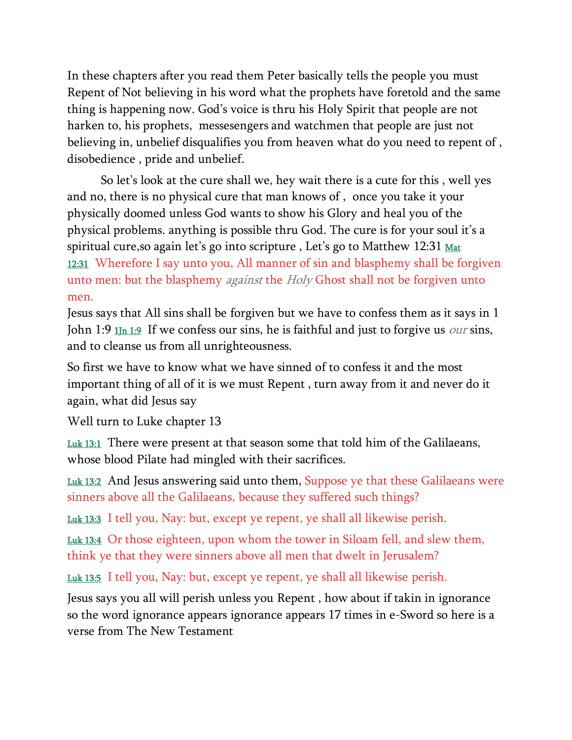In these chapters after you read them Peter basically tells the people you must Repent of Not believing in his word what the prophets have foretold and the same thing is happening now. God's voice is thru his Holy Spirit that people are not harken to, his prophets, messesengers and watchmen that people are just not believing in, unbelief disqualifies you from heaven what do you need to repent of , disobedience , pride and unbelief.

So let's look at the cure shall we, hey wait there is a cute for this , well yes and no, there is no physical cure that man knows of , once you take it your physically doomed unless God wants to show his Glory and heal you of the physical problems. anything is possible thru God. The cure is for your soul it's a spiritual cure, so again let's go into scripture, Let's go to Matthew 12:31 Mat [12:31](verseid:40.12.31) Wherefore I say unto you, All manner of sin and blasphemy shall be forgiven unto men: but the blasphemy *against* the *Holy* Ghost shall not be forgiven unto men.

Jesus says that All sins shall be forgiven but we have to confess them as it says in 1 John 1:9  $1\text{ln }1:9$  If we confess our sins, he is faithful and just to forgive us *our* sins, and to cleanse us from all unrighteousness.

So first we have to know what we have sinned of to confess it and the most important thing of all of it is we must Repent , turn away from it and never do it again, what did Jesus say

Well turn to Luke chapter 13

[Luk 13:1](verseid:42.13.1) There were present at that season some that told him of the Galilaeans, whose blood Pilate had mingled with their sacrifices.

[Luk 13:2](verseid:42.13.2) And Jesus answering said unto them, Suppose ye that these Galilaeans were sinners above all the Galilaeans, because they suffered such things?

[Luk 13:3](verseid:42.13.3) I tell you, Nay: but, except ye repent, ye shall all likewise perish.

[Luk 13:4](verseid:42.13.4) Or those eighteen, upon whom the tower in Siloam fell, and slew them, think ye that they were sinners above all men that dwelt in Jerusalem?

[Luk 13:5](verseid:42.13.5) I tell you, Nay: but, except ye repent, ye shall all likewise perish.

Jesus says you all will perish unless you Repent , how about if takin in ignorance so the word ignorance appears ignorance appears 17 times in e-Sword so here is a verse from The New Testament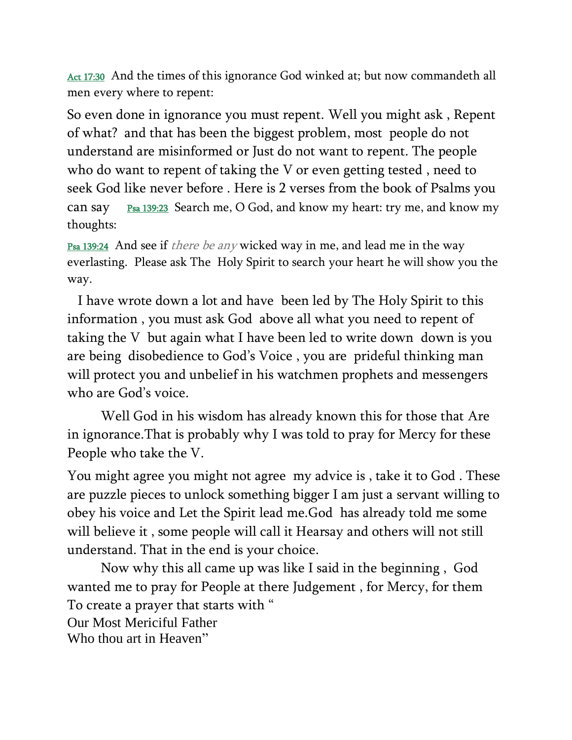[Act 17:30](verseid:44.17.30) And the times of this ignorance God winked at; but now commandeth all men every where to repent:

So even done in ignorance you must repent. Well you might ask , Repent of what? and that has been the biggest problem, most people do not understand are misinformed or Just do not want to repent. The people who do want to repent of taking the V or even getting tested , need to seek God like never before . Here is 2 verses from the book of Psalms you can say  $P_{sa}$  139:23 Search me, O God, and know my heart: try me, and know my thoughts:

**[Psa 139:24](verseid:19.139.24)** And see if *there be any* wicked way in me, and lead me in the way everlasting. Please ask The Holy Spirit to search your heart he will show you the way.

 I have wrote down a lot and have been led by The Holy Spirit to this information , you must ask God above all what you need to repent of taking the V but again what I have been led to write down down is you are being disobedience to God's Voice , you are prideful thinking man will protect you and unbelief in his watchmen prophets and messengers who are God's voice.

Well God in his wisdom has already known this for those that Are in ignorance.That is probably why I was told to pray for Mercy for these People who take the V.

You might agree you might not agree my advice is , take it to God . These are puzzle pieces to unlock something bigger I am just a servant willing to obey his voice and Let the Spirit lead me.God has already told me some will believe it , some people will call it Hearsay and others will not still understand. That in the end is your choice.

Now why this all came up was like I said in the beginning , God wanted me to pray for People at there Judgement , for Mercy, for them To create a prayer that starts with " Our Most Mericiful Father Who thou art in Heaven"